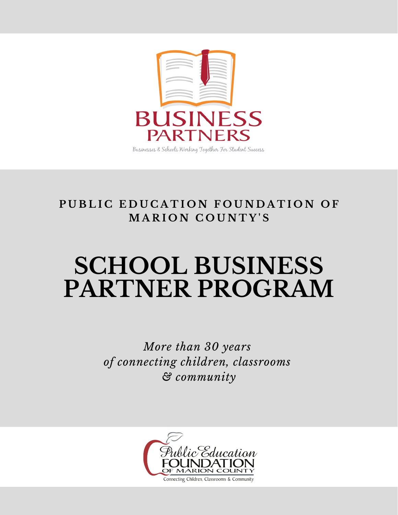

PUBLIC EDUCATION FOUNDATION OF **M A R I O N C O U N T Y ' S**

# **SCHOOL BUSINESS PARTNER PROGRAM**

*More than 30 years of connecting children, classrooms & community*

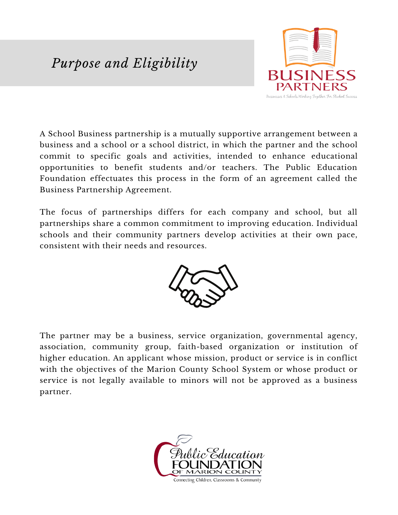# *Purpose and Eligibility*



A School Business partnership is a mutually supportive arrangement between a business and a school or a school district, in which the partner and the school commit to specific goals and activities, intended to enhance educational opportunities to benefit students and/or teachers. The Public Education Foundation effectuates this process in the form of an agreement called the Business Partnership Agreement.

The focus of partnerships differs for each company and school, but all partnerships share a common commitment to improving education. Individual schools and their community partners develop activities at their own pace, consistent with their needs and resources.



The partner may be a business, service organization, governmental agency, association, community group, faith-based organization or institution of higher education. An applicant whose mission, product or service is in conflict with the objectives of the Marion County School System or whose product or service is not legally available to minors will not be approved as a business partner.

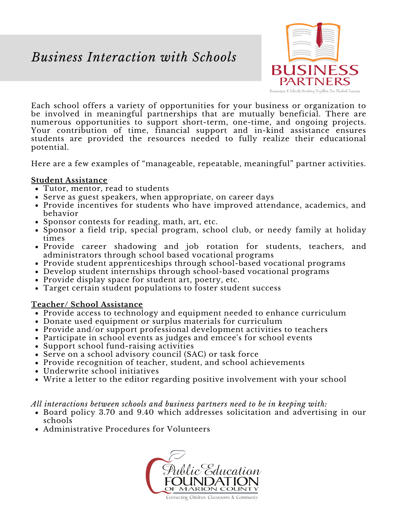### *Business Interaction with Schools*



Each school offers a variety of opportunities for your business or organization to be involved in meaningful partnerships that are mutually beneficial. There are numerous opportunities to support short-term, one-time, and ongoing projects. Your contribution of time, financial support and in-kind assistance ensures students are provided the resources needed to fully realize their educational potential.

Here are a few examples of "manageable, repeatable, meaningful" partner activities.

#### **Student Assistance**

- Tutor, mentor, read to students
- Serve as guest speakers, when appropriate, on career days
- Provide incentives for students who have improved attendance, academics, and behavior
- Sponsor contests for reading, math, art, etc.
- Sponsor a field trip, special program, school club, or needy family at holiday times
- Provide career shadowing and job rotation for students, teachers, and administrators through school based vocational programs
- Provide student apprenticeships through school-based vocational programs
- Develop student internships through school-based vocational programs
- Provide display space for student art, poetry, etc.
- Target certain student populations to foster student success

#### **Teacher/ School Assistance**

- Provide access to technology and equipment needed to enhance curriculum
- Donate used equipment or surplus materials for curriculum
- Provide and/or support professional development activities to teachers
- Participate in school events as judges and emcee's for school events
- Support school fund-raising activities
- *More than 30 years of connecting children,* Serve on a school advisory council (SAC) or task force
- *classrooms & community* Provide recognition of teacher, student, and school achievements
- Underwrite school initiatives
- Write a letter to the editor regarding positive involvement with your school

*All interactions between schools and business partners need to be in keeping with:*

- Board policy 3.70 and 9.40 which addresses solicitation and advertising in our schools
- Administrative Procedures for Volunteers



Connecting Children, Classrooms & Community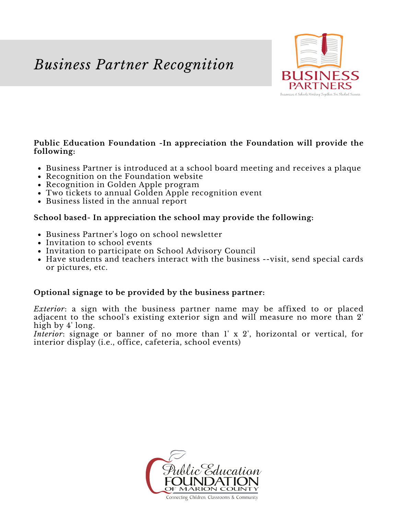# *Business Partner Recognition*



#### **Public Education Foundation -In appreciation the Foundation will provide the following:**

- Business Partner is introduced at a school board meeting and receives a plaque
- Recognition on the Foundation website
- Recognition in Golden Apple program
- Two tickets to annual Golden Apple recognition event
- Business listed in the annual report

#### **School based- In appreciation the school may provide the following:**

- Business Partner's logo on school newsletter
- Invitation to school events
- Invitation to participate on School Advisory Council
- Have students and teachers interact with the business --visit, send special cards or pictures, etc.

#### **Optional signage to be provided by the business partner:**

*Exterior*: a sign with the business partner name may be affixed to or placed adjacent to the school's existing exterior sign and will measure no more than 2' high by 4' long.

*Interior*: signage or banner of no more than 1' x 2', horizontal or vertical, for interior display (i.e., office, cafeteria, school events)



Connecting Children, Classrooms & Community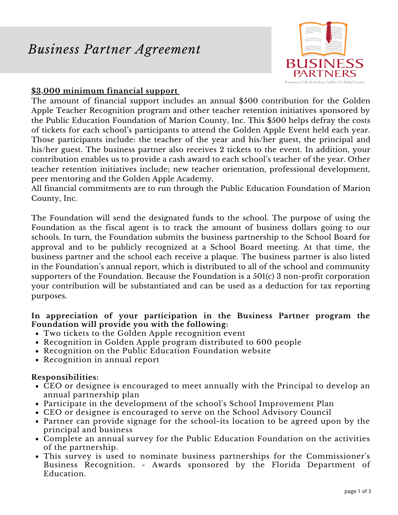### *Business Partner Agreement*



#### **\$3,000 minimum financial support**

The amount of financial support includes an annual \$500 contribution for the Golden Apple Teacher Recognition program and other teacher retention initiatives sponsored by the Public Education Foundation of Marion County, Inc. This \$500 helps defray the costs of tickets for each school's participants to attend the Golden Apple Event held each year. Those participants include: the teacher of the year and his/her guest, the principal and his/her guest. The business partner also receives 2 tickets to the event. In addition, your contribution enables us to provide a cash award to each school's teacher of the year. Other teacher retention initiatives include; new teacher orientation, professional development, peer mentoring and the Golden Apple Academy.

All financial commitments are to run through the Public Education Foundation of Marion County, Inc.

The Foundation will send the designated funds to the school. The purpose of using the Foundation as the fiscal agent is to track the amount of business dollars going to our schools. In turn, the Foundation submits the business partnership to the School Board for approval and to be publicly recognized at a School Board meeting. At that time, the business partner and the school each receive a plaque. The business partner is also listed in the Foundation's annual report, which is distributed to all of the school and community supporters of the Foundation. Because the Foundation is a 501(c) 3 non-profit corporation your contribution will be substantiated and can be used as a deduction for tax reporting purposes.

#### **In appreciation of your participation in the Business Partner program the Foundation will provide you with the following:**

- Two tickets to the Golden Apple recognition event
- Recognition in Golden Apple program distributed to 600 people
- *More than 30 years of connecting children,* Recognition on the Public Education Foundation website
- *classrooms & community* Recognition in annual report

#### **Responsibilities:**

- CEO or designee is encouraged to meet annually with the Principal to develop an annual partnership plan
- Participate in the development of the school's School Improvement Plan
- CEO or designee is encouraged to serve on the School Advisory Council
- Partner can provide signage for the school-its location to be agreed upon by the principal and business
- Complete an annual survey for the Public Education Foundation on the activities of the partnership.
- This survey is used to nominate business partnerships for the Commissioner's Business Recognition. - Awards sponsored by the Florida Department of Education.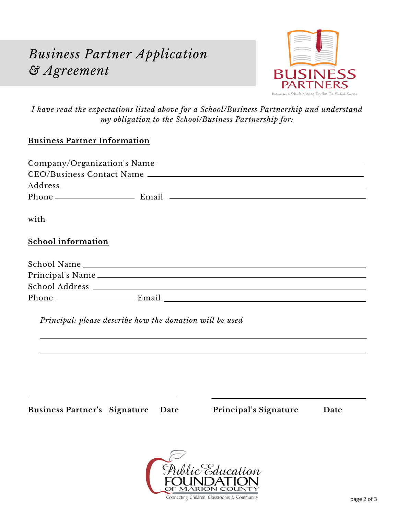# *Business Partner Application & Agreement*



*I have read the expectations listed above for a School/Business Partnership and understand my obligation to the School/Business Partnership for:*

#### **Business Partner Information**

|                           |                                                          | $Address$ and $Address$ and $A$ and $A$ and $A$ and $A$ and $A$ and $A$ and $A$ and $A$ and $A$ and $A$ and $A$ and $A$ and $A$ and $A$ and $A$ and $A$ and $A$ and $A$ and $A$ and $A$ and $A$ and $A$ and $A$ and $A$ and $A$ and $A$ a |  |
|---------------------------|----------------------------------------------------------|-------------------------------------------------------------------------------------------------------------------------------------------------------------------------------------------------------------------------------------------|--|
|                           |                                                          |                                                                                                                                                                                                                                           |  |
| with                      |                                                          |                                                                                                                                                                                                                                           |  |
| <b>School information</b> |                                                          |                                                                                                                                                                                                                                           |  |
|                           |                                                          |                                                                                                                                                                                                                                           |  |
|                           |                                                          |                                                                                                                                                                                                                                           |  |
|                           |                                                          |                                                                                                                                                                                                                                           |  |
|                           |                                                          |                                                                                                                                                                                                                                           |  |
|                           |                                                          |                                                                                                                                                                                                                                           |  |
|                           | Principal: please describe how the donation will be used |                                                                                                                                                                                                                                           |  |
|                           |                                                          |                                                                                                                                                                                                                                           |  |
|                           |                                                          |                                                                                                                                                                                                                                           |  |